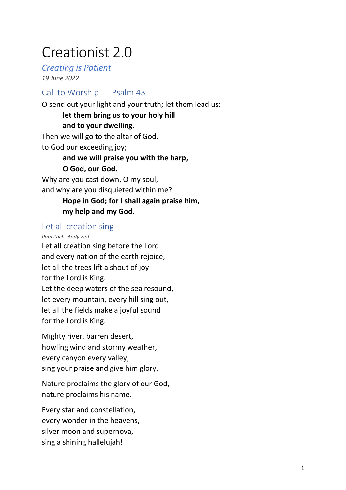# Creationist 2.0

*Creating is Patient 19 June 2022*

Call to Worship Psalm 43 O send out your light and your truth; let them lead us; **let them bring us to your holy hill and to your dwelling.**  Then we will go to the altar of God, to God our exceeding joy; **and we will praise you with the harp, O God, our God.**  Why are you cast down, O my soul, and why are you disquieted within me? **Hope in God; for I shall again praise him, my help and my God.** 

#### Let all creation sing

*Paul Zach, Andy Zipf* Let all creation sing before the Lord and every nation of the earth rejoice, let all the trees lift a shout of joy for the Lord is King. Let the deep waters of the sea resound, let every mountain, every hill sing out, let all the fields make a joyful sound for the Lord is King.

Mighty river, barren desert, howling wind and stormy weather, every canyon every valley, sing your praise and give him glory.

Nature proclaims the glory of our God, nature proclaims his name.

Every star and constellation, every wonder in the heavens, silver moon and supernova, sing a shining hallelujah!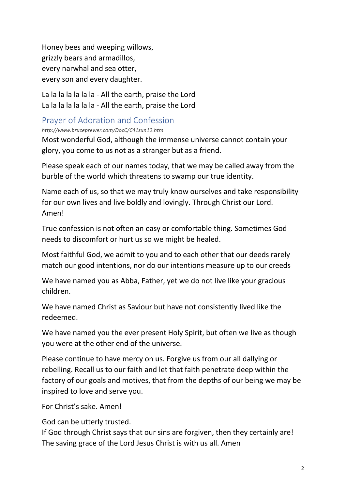Honey bees and weeping willows, grizzly bears and armadillos, every narwhal and sea otter, every son and every daughter.

La la la la la la la - All the earth, praise the Lord La la la la la la la - All the earth, praise the Lord

#### Prayer of Adoration and Confession

*http://www.bruceprewer.com/DocC/C41sun12.htm*

Most wonderful God, although the immense universe cannot contain your glory, you come to us not as a stranger but as a friend.

Please speak each of our names today, that we may be called away from the burble of the world which threatens to swamp our true identity.

Name each of us, so that we may truly know ourselves and take responsibility for our own lives and live boldly and lovingly. Through Christ our Lord. Amen!

True confession is not often an easy or comfortable thing. Sometimes God needs to discomfort or hurt us so we might be healed.

Most faithful God, we admit to you and to each other that our deeds rarely match our good intentions, nor do our intentions measure up to our creeds

We have named you as Abba, Father, yet we do not live like your gracious children.

We have named Christ as Saviour but have not consistently lived like the redeemed.

We have named you the ever present Holy Spirit, but often we live as though you were at the other end of the universe.

Please continue to have mercy on us. Forgive us from our all dallying or rebelling. Recall us to our faith and let that faith penetrate deep within the factory of our goals and motives, that from the depths of our being we may be inspired to love and serve you.

For Christ's sake. Amen!

God can be utterly trusted.

If God through Christ says that our sins are forgiven, then they certainly are! The saving grace of the Lord Jesus Christ is with us all. Amen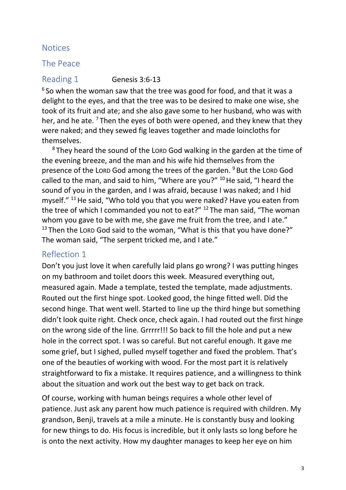#### **Notices**

#### The Peace

Reading 1 Genesis 3:6-13

<sup>6</sup> So when the woman saw that the tree was good for food, and that it was a delight to the eyes, and that the tree was to be desired to make one wise, she took of its fruit and ate; and she also gave some to her husband, who was with her, and he ate.  $7$  Then the eyes of both were opened, and they knew that they were naked; and they sewed fig leaves together and made loincloths for themselves.

 $8$  They heard the sound of the LORD God walking in the garden at the time of the evening breeze, and the man and his wife hid themselves from the presence of the LORD God among the trees of the garden. <sup>9</sup> But the LORD God called to the man, and said to him, "Where are you?" <sup>10</sup> He said, "I heard the sound of you in the garden, and I was afraid, because I was naked; and I hid myself." <sup>11</sup> He said, "Who told you that you were naked? Have you eaten from the tree of which I commanded you not to eat?"  $12$  The man said, "The woman whom you gave to be with me, she gave me fruit from the tree, and I ate."  $13$  Then the LORD God said to the woman, "What is this that you have done?" The woman said, "The serpent tricked me, and I ate."

#### Reflection 1

Don't you just love it when carefully laid plans go wrong? I was putting hinges on my bathroom and toilet doors this week. Measured everything out, measured again. Made a template, tested the template, made adjustments. Routed out the first hinge spot. Looked good, the hinge fitted well. Did the second hinge. That went well. Started to line up the third hinge but something didn't look quite right. Check once, check again. I had routed out the first hinge on the wrong side of the line. Grrrrr!!! So back to fill the hole and put a new hole in the correct spot. I was so careful. But not careful enough. It gave me some grief, but I sighed, pulled myself together and fixed the problem. That's one of the beauties of working with wood. For the most part it is relatively straightforward to fix a mistake. It requires patience, and a willingness to think about the situation and work out the best way to get back on track.

Of course, working with human beings requires a whole other level of patience. Just ask any parent how much patience is required with children. My grandson, Benji, travels at a mile a minute. He is constantly busy and looking for new things to do. His focus is incredible, but it only lasts so long before he is onto the next activity. How my daughter manages to keep her eye on him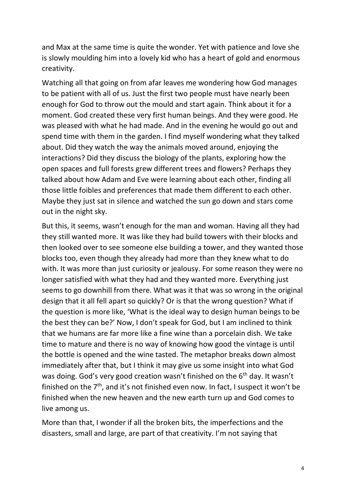and Max at the same time is quite the wonder. Yet with patience and love she is slowly moulding him into a lovely kid who has a heart of gold and enormous creativity.

Watching all that going on from afar leaves me wondering how God manages to be patient with all of us. Just the first two people must have nearly been enough for God to throw out the mould and start again. Think about it for a moment. God created these very first human beings. And they were good. He was pleased with what he had made. And in the evening he would go out and spend time with them in the garden. I find myself wondering what they talked about. Did they watch the way the animals moved around, enjoying the interactions? Did they discuss the biology of the plants, exploring how the open spaces and full forests grew different trees and flowers? Perhaps they talked about how Adam and Eve were learning about each other, finding all those little foibles and preferences that made them different to each other. Maybe they just sat in silence and watched the sun go down and stars come out in the night sky.

But this, it seems, wasn't enough for the man and woman. Having all they had they still wanted more. It was like they had build towers with their blocks and then looked over to see someone else building a tower, and they wanted those blocks too, even though they already had more than they knew what to do with. It was more than just curiosity or jealousy. For some reason they were no longer satisfied with what they had and they wanted more. Everything just seems to go downhill from there. What was it that was so wrong in the original design that it all fell apart so quickly? Or is that the wrong question? What if the question is more like, 'What is the ideal way to design human beings to be the best they can be?' Now, I don't speak for God, but I am inclined to think that we humans are far more like a fine wine than a porcelain dish. We take time to mature and there is no way of knowing how good the vintage is until the bottle is opened and the wine tasted. The metaphor breaks down almost immediately after that, but I think it may give us some insight into what God was doing. God's very good creation wasn't finished on the 6<sup>th</sup> day. It wasn't finished on the  $7<sup>th</sup>$ , and it's not finished even now. In fact, I suspect it won't be finished when the new heaven and the new earth turn up and God comes to live among us.

More than that, I wonder if all the broken bits, the imperfections and the disasters, small and large, are part of that creativity. I'm not saying that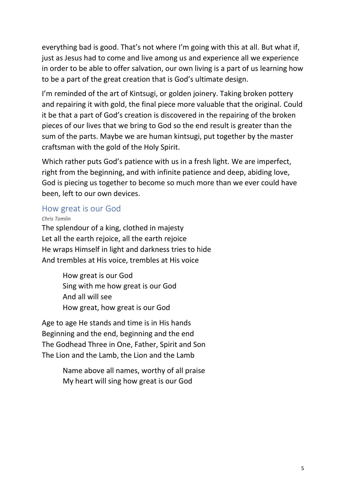everything bad is good. That's not where I'm going with this at all. But what if, just as Jesus had to come and live among us and experience all we experience in order to be able to offer salvation, our own living is a part of us learning how to be a part of the great creation that is God's ultimate design.

I'm reminded of the art of Kintsugi, or golden joinery. Taking broken pottery and repairing it with gold, the final piece more valuable that the original. Could it be that a part of God's creation is discovered in the repairing of the broken pieces of our lives that we bring to God so the end result is greater than the sum of the parts. Maybe we are human kintsugi, put together by the master craftsman with the gold of the Holy Spirit.

Which rather puts God's patience with us in a fresh light. We are imperfect, right from the beginning, and with infinite patience and deep, abiding love, God is piecing us together to become so much more than we ever could have been, left to our own devices.

#### How great is our God

*Chris Tomlin*

The splendour of a king, clothed in majesty Let all the earth rejoice, all the earth rejoice He wraps Himself in light and darkness tries to hide And trembles at His voice, trembles at His voice

> How great is our God Sing with me how great is our God And all will see How great, how great is our God

Age to age He stands and time is in His hands Beginning and the end, beginning and the end The Godhead Three in One, Father, Spirit and Son The Lion and the Lamb, the Lion and the Lamb

> Name above all names, worthy of all praise My heart will sing how great is our God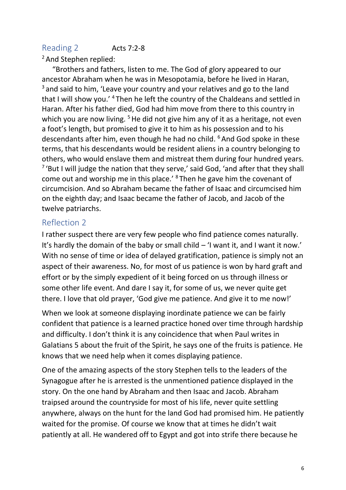# Reading 2 **Acts 7:2-8**

#### <sup>2</sup> And Stephen replied:

"Brothers and fathers, listen to me. The God of glory appeared to our ancestor Abraham when he was in Mesopotamia, before he lived in Haran,  $3$  and said to him. 'Leave your country and your relatives and go to the land that I will show you.' <sup>4</sup> Then he left the country of the Chaldeans and settled in Haran. After his father died, God had him move from there to this country in which you are now living.  $5$  He did not give him any of it as a heritage, not even a foot's length, but promised to give it to him as his possession and to his descendants after him, even though he had no child. <sup>6</sup> And God spoke in these terms, that his descendants would be resident aliens in a country belonging to others, who would enslave them and mistreat them during four hundred years. <sup>7</sup> 'But I will judge the nation that they serve,' said God, 'and after that they shall come out and worship me in this place.' <sup>8</sup> Then he gave him the covenant of circumcision. And so Abraham became the father of Isaac and circumcised him on the eighth day; and Isaac became the father of Jacob, and Jacob of the twelve patriarchs.

#### Reflection 2

I rather suspect there are very few people who find patience comes naturally. It's hardly the domain of the baby or small child – 'I want it, and I want it now.' With no sense of time or idea of delayed gratification, patience is simply not an aspect of their awareness. No, for most of us patience is won by hard graft and effort or by the simply expedient of it being forced on us through illness or some other life event. And dare I say it, for some of us, we never quite get there. I love that old prayer, 'God give me patience. And give it to me now!'

When we look at someone displaying inordinate patience we can be fairly confident that patience is a learned practice honed over time through hardship and difficulty. I don't think it is any coincidence that when Paul writes in Galatians 5 about the fruit of the Spirit, he says one of the fruits is patience. He knows that we need help when it comes displaying patience.

One of the amazing aspects of the story Stephen tells to the leaders of the Synagogue after he is arrested is the unmentioned patience displayed in the story. On the one hand by Abraham and then Isaac and Jacob. Abraham traipsed around the countryside for most of his life, never quite settling anywhere, always on the hunt for the land God had promised him. He patiently waited for the promise. Of course we know that at times he didn't wait patiently at all. He wandered off to Egypt and got into strife there because he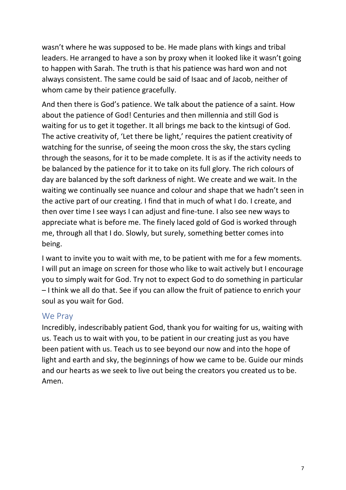wasn't where he was supposed to be. He made plans with kings and tribal leaders. He arranged to have a son by proxy when it looked like it wasn't going to happen with Sarah. The truth is that his patience was hard won and not always consistent. The same could be said of Isaac and of Jacob, neither of whom came by their patience gracefully.

And then there is God's patience. We talk about the patience of a saint. How about the patience of God! Centuries and then millennia and still God is waiting for us to get it together. It all brings me back to the kintsugi of God. The active creativity of, 'Let there be light,' requires the patient creativity of watching for the sunrise, of seeing the moon cross the sky, the stars cycling through the seasons, for it to be made complete. It is as if the activity needs to be balanced by the patience for it to take on its full glory. The rich colours of day are balanced by the soft darkness of night. We create and we wait. In the waiting we continually see nuance and colour and shape that we hadn't seen in the active part of our creating. I find that in much of what I do. I create, and then over time I see ways I can adjust and fine-tune. I also see new ways to appreciate what is before me. The finely laced gold of God is worked through me, through all that I do. Slowly, but surely, something better comes into being.

I want to invite you to wait with me, to be patient with me for a few moments. I will put an image on screen for those who like to wait actively but I encourage you to simply wait for God. Try not to expect God to do something in particular – I think we all do that. See if you can allow the fruit of patience to enrich your soul as you wait for God.

#### We Pray

Incredibly, indescribably patient God, thank you for waiting for us, waiting with us. Teach us to wait with you, to be patient in our creating just as you have been patient with us. Teach us to see beyond our now and into the hope of light and earth and sky, the beginnings of how we came to be. Guide our minds and our hearts as we seek to live out being the creators you created us to be. Amen.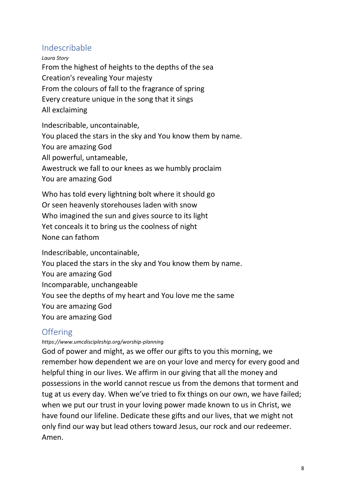### Indescribable

*Laura Story* From the highest of heights to the depths of the sea Creation's revealing Your majesty From the colours of fall to the fragrance of spring Every creature unique in the song that it sings All exclaiming

Indescribable, uncontainable,

You placed the stars in the sky and You know them by name.

You are amazing God

All powerful, untameable,

Awestruck we fall to our knees as we humbly proclaim

You are amazing God

Who has told every lightning bolt where it should go Or seen heavenly storehouses laden with snow Who imagined the sun and gives source to its light Yet conceals it to bring us the coolness of night None can fathom

Indescribable, uncontainable,

You placed the stars in the sky and You know them by name.

You are amazing God

Incomparable, unchangeable

You see the depths of my heart and You love me the same

You are amazing God

You are amazing God

# **Offering**

*https://www.umcdiscipleship.org/worship-planning*

God of power and might, as we offer our gifts to you this morning, we remember how dependent we are on your love and mercy for every good and helpful thing in our lives. We affirm in our giving that all the money and possessions in the world cannot rescue us from the demons that torment and tug at us every day. When we've tried to fix things on our own, we have failed; when we put our trust in your loving power made known to us in Christ, we have found our lifeline. Dedicate these gifts and our lives, that we might not only find our way but lead others toward Jesus, our rock and our redeemer. Amen.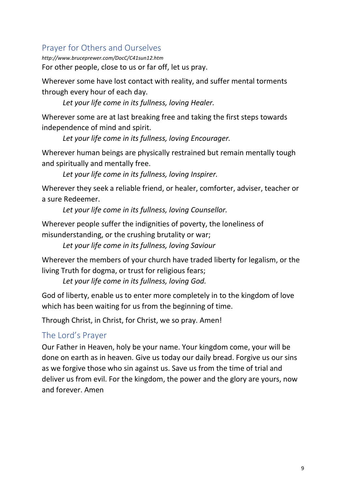# Prayer for Others and Ourselves

*http://www.bruceprewer.com/DocC/C41sun12.htm* For other people, close to us or far off, let us pray.

Wherever some have lost contact with reality, and suffer mental torments through every hour of each day.

*Let your life come in its fullness, loving Healer.*

Wherever some are at last breaking free and taking the first steps towards independence of mind and spirit.

*Let your life come in its fullness, loving Encourager.*

Wherever human beings are physically restrained but remain mentally tough and spiritually and mentally free.

*Let your life come in its fullness, loving Inspirer.*

Wherever they seek a reliable friend, or healer, comforter, adviser, teacher or a sure Redeemer.

*Let your life come in its fullness, loving Counsellor.*

Wherever people suffer the indignities of poverty, the loneliness of misunderstanding, or the crushing brutality or war;

*Let your life come in its fullness, loving Saviour*

Wherever the members of your church have traded liberty for legalism, or the living Truth for dogma, or trust for religious fears;

*Let your life come in its fullness, loving God.*

God of liberty, enable us to enter more completely in to the kingdom of love which has been waiting for us from the beginning of time.

Through Christ, in Christ, for Christ, we so pray. Amen!

# The Lord's Prayer

Our Father in Heaven, holy be your name. Your kingdom come, your will be done on earth as in heaven. Give us today our daily bread. Forgive us our sins as we forgive those who sin against us. Save us from the time of trial and deliver us from evil. For the kingdom, the power and the glory are yours, now and forever. Amen